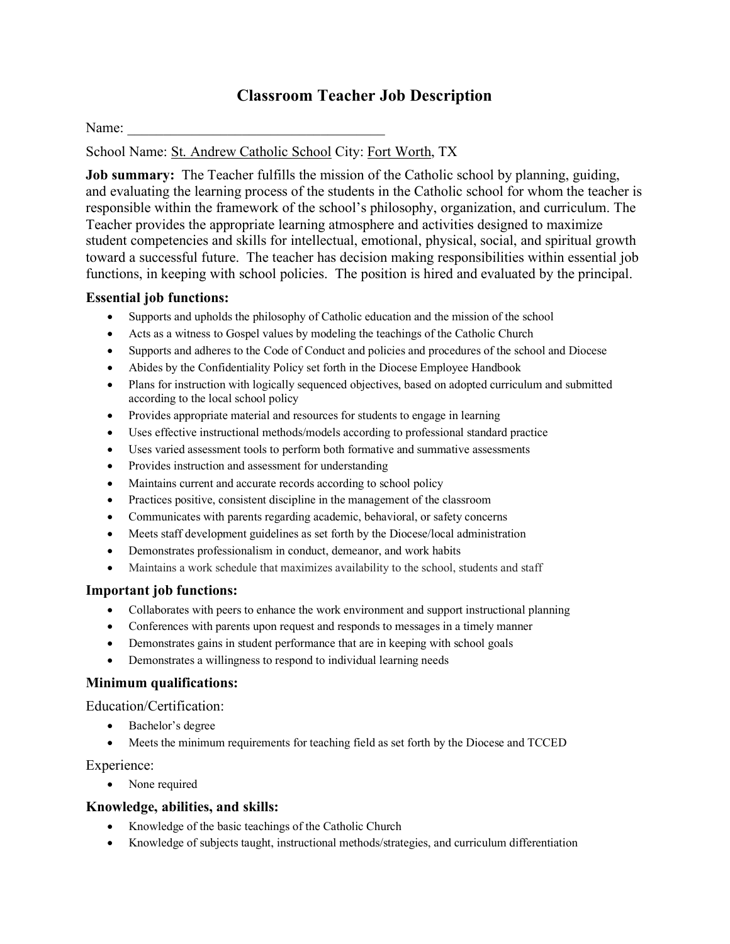# **Classroom Teacher Job Description**

Name:

School Name: St. Andrew Catholic School City: Fort Worth, TX

**Job summary:** The Teacher fulfills the mission of the Catholic school by planning, guiding, and evaluating the learning process of the students in the Catholic school for whom the teacher is responsible within the framework of the school's philosophy, organization, and curriculum. The Teacher provides the appropriate learning atmosphere and activities designed to maximize student competencies and skills for intellectual, emotional, physical, social, and spiritual growth toward a successful future. The teacher has decision making responsibilities within essential job functions, in keeping with school policies. The position is hired and evaluated by the principal.

## **Essential job functions:**

- Supports and upholds the philosophy of Catholic education and the mission of the school
- Acts as a witness to Gospel values by modeling the teachings of the Catholic Church
- Supports and adheres to the Code of Conduct and policies and procedures of the school and Diocese
- Abides by the Confidentiality Policy set forth in the Diocese Employee Handbook
- Plans for instruction with logically sequenced objectives, based on adopted curriculum and submitted according to the local school policy
- Provides appropriate material and resources for students to engage in learning
- Uses effective instructional methods/models according to professional standard practice
- Uses varied assessment tools to perform both formative and summative assessments
- Provides instruction and assessment for understanding
- Maintains current and accurate records according to school policy
- Practices positive, consistent discipline in the management of the classroom
- Communicates with parents regarding academic, behavioral, or safety concerns
- Meets staff development guidelines as set forth by the Diocese/local administration
- Demonstrates professionalism in conduct, demeanor, and work habits
- Maintains a work schedule that maximizes availability to the school, students and staff

## **Important job functions:**

- Collaborates with peers to enhance the work environment and support instructional planning
- Conferences with parents upon request and responds to messages in a timely manner
- Demonstrates gains in student performance that are in keeping with school goals
- Demonstrates a willingness to respond to individual learning needs

## **Minimum qualifications:**

Education/Certification:

- Bachelor's degree
- Meets the minimum requirements for teaching field as set forth by the Diocese and TCCED

Experience:

None required

## **Knowledge, abilities, and skills:**

- Knowledge of the basic teachings of the Catholic Church
- Knowledge of subjects taught, instructional methods/strategies, and curriculum differentiation